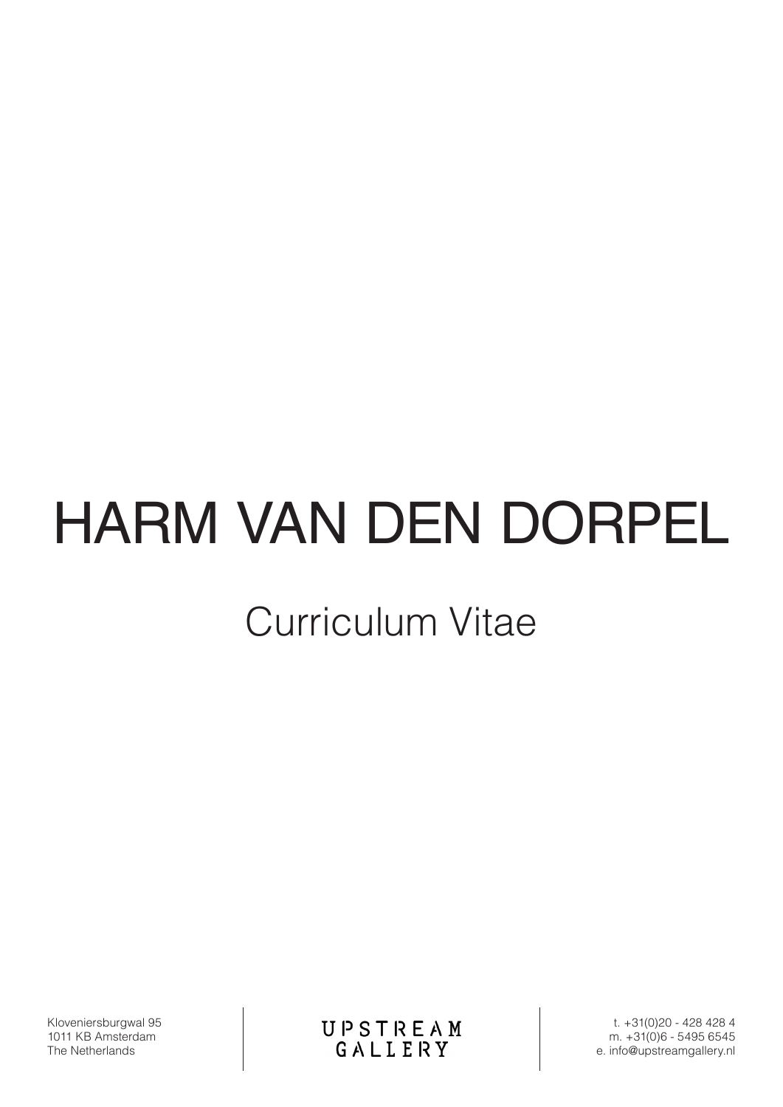# HARM VAN DEN DORPEL

# Curriculum Vitae

Kloveniersburgwal 95 1011 KB Amsterdam The Netherlands

UPSTREAM<br>GALLERY

t. +31(0)20 - 428 428 4 m. +31(0)6 - 5495 6545 e. info@upstreamgallery.nl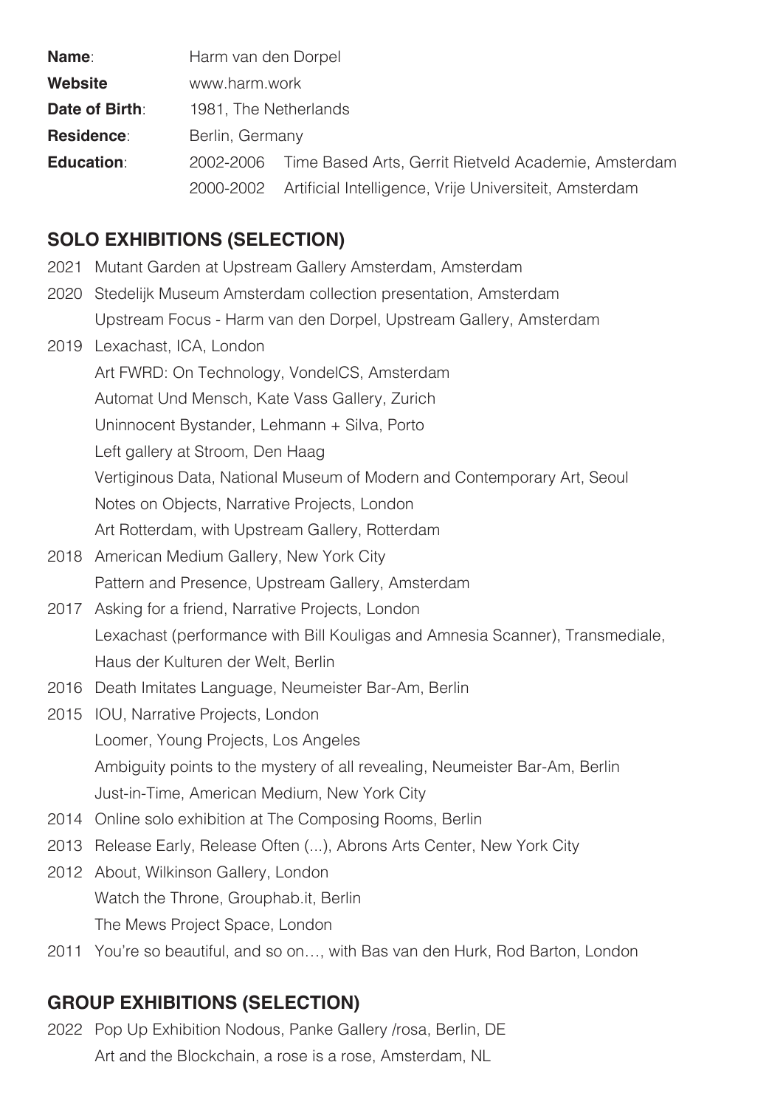| <b>Name:</b>      | Harm van den Dorpel   |                                                                  |
|-------------------|-----------------------|------------------------------------------------------------------|
| <b>Website</b>    | www.harm.work         |                                                                  |
| Date of Birth:    | 1981, The Netherlands |                                                                  |
| <b>Residence:</b> | Berlin, Germany       |                                                                  |
| <b>Education:</b> |                       | 2002-2006 Time Based Arts, Gerrit Rietveld Academie, Amsterdam   |
|                   |                       | 2000-2002 Artificial Intelligence, Vrije Universiteit, Amsterdam |

### **SOLO EXHIBITIONS (SELECTION)**

- 2021 Mutant Garden at Upstream Gallery Amsterdam, Amsterdam
- 2020 Stedelijk Museum Amsterdam collection presentation, Amsterdam Upstream Focus - Harm van den Dorpel, Upstream Gallery, Amsterdam

2019 Lexachast, ICA, London Art FWRD: On Technology, VondelCS, Amsterdam Automat Und Mensch, Kate Vass Gallery, Zurich Uninnocent Bystander, Lehmann + Silva, Porto Left gallery at Stroom, Den Haag Vertiginous Data, National Museum of Modern and Contemporary Art, Seoul Notes on Objects, Narrative Projects, London Art Rotterdam, with Upstream Gallery, Rotterdam

- 2018 American Medium Gallery, New York City Pattern and Presence, Upstream Gallery, Amsterdam
- 2017 Asking for a friend, Narrative Projects, London Lexachast (performance with Bill Kouligas and Amnesia Scanner), Transmediale, Haus der Kulturen der Welt, Berlin
- 2016 Death Imitates Language, Neumeister Bar-Am, Berlin
- 2015 **IOU, Narrative Projects, London**  Loomer, Young Projects, Los Angeles Ambiguity points to the mystery of all revealing, Neumeister Bar-Am, Berlin Just-in-Time, American Medium, New York City
- 2014 Online solo exhibition at The Composing Rooms, Berlin
- 2013 Release Early, Release Often (...), Abrons Arts Center, New York City
- 2012 About, Wilkinson Gallery, London Watch the Throne, Grouphab.it, Berlin The Mews Project Space, London
- 2011 You're so beautiful, and so on…, with Bas van den Hurk, Rod Barton, London

# **GROUP EXHIBITIONS (SELECTION)**

2022 Pop Up Exhibition Nodous, Panke Gallery /rosa, Berlin, DE Art and the Blockchain, a rose is a rose, Amsterdam, NL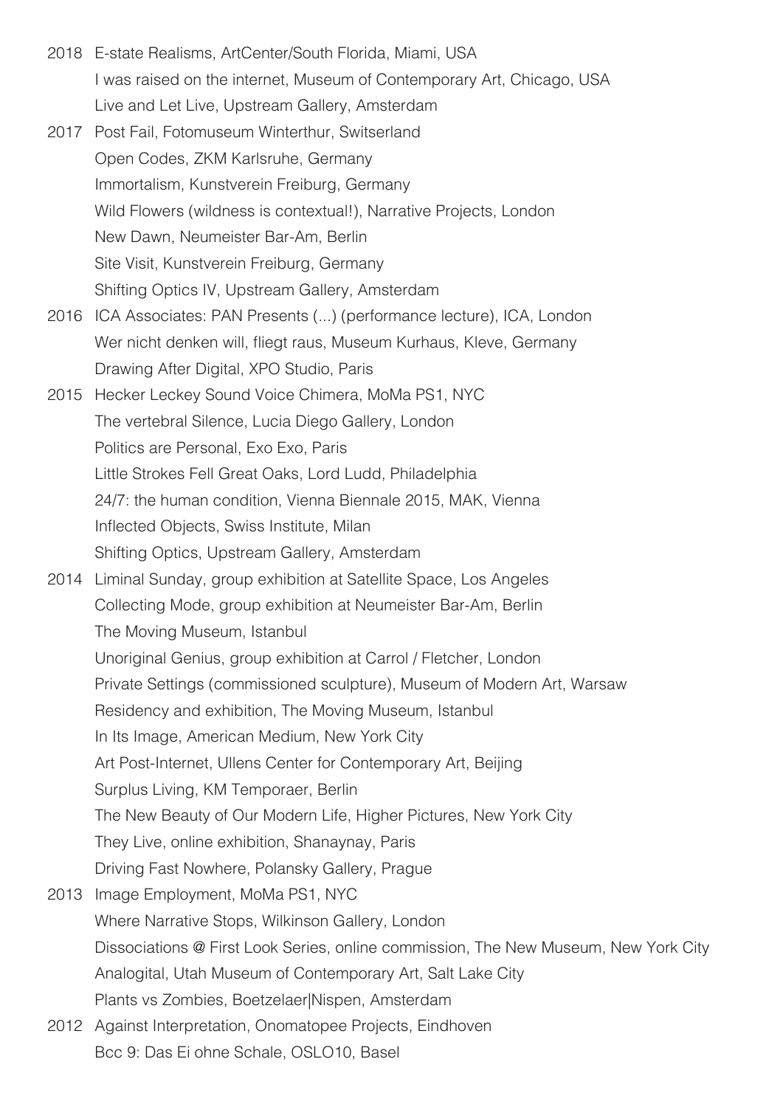- 2018 E-state Realisms, ArtCenter/South Florida, Miami, USA I was raised on the internet, Museum of Contemporary Art, Chicago, USA Live and Let Live, Upstream Gallery, Amsterdam
- 2017 Post Fail, Fotomuseum Winterthur, Switserland Open Codes, ZKM Karlsruhe, Germany Immortalism, Kunstverein Freiburg, Germany Wild Flowers (wildness is contextual!), Narrative Projects, London New Dawn, Neumeister Bar-Am, Berlin Site Visit, Kunstverein Freiburg, Germany Shifting Optics IV, Upstream Gallery, Amsterdam
- 2016 ICA Associates: PAN Presents (...) (performance lecture), ICA, London Wer nicht denken will, fliegt raus, Museum Kurhaus, Kleve, Germany Drawing After Digital, XPO Studio, Paris
- 2015 Hecker Leckey Sound Voice Chimera, MoMa PS1, NYC The vertebral Silence, Lucia Diego Gallery, London Politics are Personal, Exo Exo, Paris Little Strokes Fell Great Oaks, Lord Ludd, Philadelphia 24/7: the human condition, Vienna Biennale 2015, MAK, Vienna Inflected Objects, Swiss Institute, Milan Shifting Optics, Upstream Gallery, Amsterdam
- 2014 Liminal Sunday, group exhibition at Satellite Space, Los Angeles Collecting Mode, group exhibition at Neumeister Bar-Am, Berlin The Moving Museum, Istanbul Unoriginal Genius, group exhibition at Carrol / Fletcher, London Private Settings (commissioned sculpture), Museum of Modern Art, Warsaw Residency and exhibition, The Moving Museum, Istanbul In Its Image, American Medium, New York City Art Post-Internet, Ullens Center for Contemporary Art, Beijing Surplus Living, KM Temporaer, Berlin The New Beauty of Our Modern Life, Higher Pictures, New York City They Live, online exhibition, Shanaynay, Paris Driving Fast Nowhere, Polansky Gallery, Prague 2013 Image Employment, MoMa PS1, NYC Where Narrative Stops, Wilkinson Gallery, London Dissociations @ First Look Series, online commission, The New Museum, New York City Analogital, Utah Museum of Contemporary Art, Salt Lake City Plants vs Zombies, Boetzelaer|Nispen, Amsterdam
- 2012 Against Interpretation, Onomatopee Projects, Eindhoven Bcc 9: Das Ei ohne Schale, OSLO10, Basel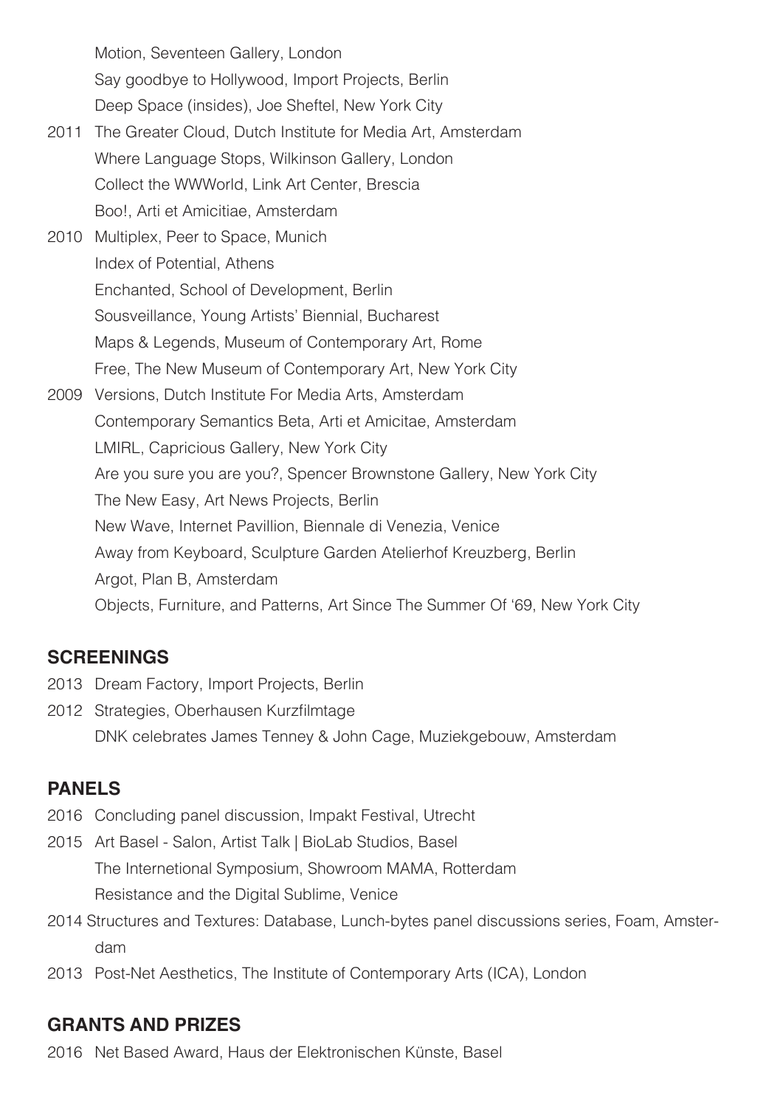Motion, Seventeen Gallery, London Say goodbye to Hollywood, Import Projects, Berlin Deep Space (insides), Joe Sheftel, New York City

- 2011 The Greater Cloud, Dutch Institute for Media Art, Amsterdam Where Language Stops, Wilkinson Gallery, London Collect the WWWorld, Link Art Center, Brescia Boo!, Arti et Amicitiae, Amsterdam
- 2010 Multiplex, Peer to Space, Munich Index of Potential, Athens Enchanted, School of Development, Berlin Sousveillance, Young Artists' Biennial, Bucharest Maps & Legends, Museum of Contemporary Art, Rome Free, The New Museum of Contemporary Art, New York City
- 2009 Versions, Dutch Institute For Media Arts, Amsterdam Contemporary Semantics Beta, Arti et Amicitae, Amsterdam LMIRL, Capricious Gallery, New York City Are you sure you are you?, Spencer Brownstone Gallery, New York City The New Easy, Art News Projects, Berlin New Wave, Internet Pavillion, Biennale di Venezia, Venice Away from Keyboard, Sculpture Garden Atelierhof Kreuzberg, Berlin Argot, Plan B, Amsterdam Objects, Furniture, and Patterns, Art Since The Summer Of '69, New York City

#### **SCREENINGS**

- 2013 Dream Factory, Import Projects, Berlin
- 2012 Strategies, Oberhausen Kurzfilmtage DNK celebrates James Tenney & John Cage, Muziekgebouw, Amsterdam

# **PANELS**

- 2016 Concluding panel discussion, Impakt Festival, Utrecht
- 2015 Art Basel Salon, Artist Talk | BioLab Studios, Basel The Internetional Symposium, Showroom MAMA, Rotterdam Resistance and the Digital Sublime, Venice
- 2014 Structures and Textures: Database, Lunch-bytes panel discussions series, Foam, Amster dam
- 2013 Post-Net Aesthetics, The Institute of Contemporary Arts (ICA), London

#### **GRANTS AND PRIZES**

2016 Net Based Award, Haus der Elektronischen Künste, Basel